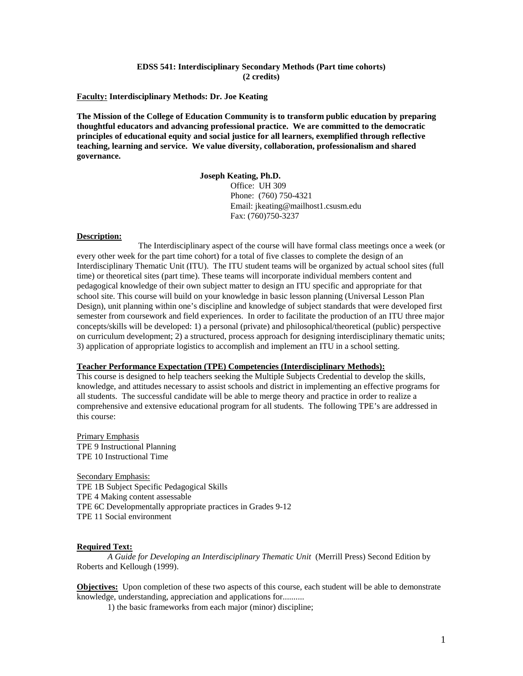#### **EDSS 541: Interdisciplinary Secondary Methods (Part time cohorts) (2 credits)**

#### **Faculty: Interdisciplinary Methods: Dr. Joe Keating**

**The Mission of the College of Education Community is to transform public education by preparing thoughtful educators and advancing professional practice. We are committed to the democratic principles of educational equity and social justice for all learners, exemplified through reflective teaching, learning and service. We value diversity, collaboration, professionalism and shared governance.**

#### **Joseph Keating, Ph.D.**

Office: UH 309 Phone: (760) 750-4321 Email: jkeating@mailhost1.csusm.edu Fax: (760)750-3237

#### **Description:**

The Interdisciplinary aspect of the course will have formal class meetings once a week (or every other week for the part time cohort) for a total of five classes to complete the design of an Interdisciplinary Thematic Unit (ITU). The ITU student teams will be organized by actual school sites (full time) or theoretical sites (part time). These teams will incorporate individual members content and pedagogical knowledge of their own subject matter to design an ITU specific and appropriate for that school site. This course will build on your knowledge in basic lesson planning (Universal Lesson Plan Design), unit planning within one's discipline and knowledge of subject standards that were developed first semester from coursework and field experiences. In order to facilitate the production of an ITU three major concepts/skills will be developed: 1) a personal (private) and philosophical/theoretical (public) perspective on curriculum development; 2) a structured, process approach for designing interdisciplinary thematic units; 3) application of appropriate logistics to accomplish and implement an ITU in a school setting.

## **Teacher Performance Expectation (TPE) Competencies (Interdisciplinary Methods):**

This course is designed to help teachers seeking the Multiple Subjects Credential to develop the skills, knowledge, and attitudes necessary to assist schools and district in implementing an effective programs for all students. The successful candidate will be able to merge theory and practice in order to realize a comprehensive and extensive educational program for all students. The following TPE's are addressed in this course:

Primary Emphasis TPE 9 Instructional Planning TPE 10 Instructional Time

Secondary Emphasis: TPE 1B Subject Specific Pedagogical Skills TPE 4 Making content assessable TPE 6C Developmentally appropriate practices in Grades 9-12 TPE 11 Social environment

#### **Required Text:**

*A Guide for Developing an Interdisciplinary Thematic Unit* (Merrill Press) Second Edition by Roberts and Kellough (1999).

**Objectives:** Upon completion of these two aspects of this course, each student will be able to demonstrate knowledge, understanding, appreciation and applications for..........

1) the basic frameworks from each major (minor) discipline;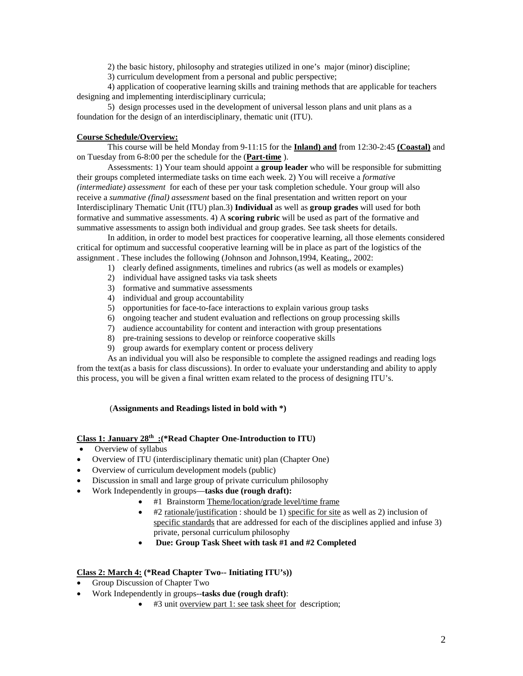2) the basic history, philosophy and strategies utilized in one's major (minor) discipline;

3) curriculum development from a personal and public perspective;

4) application of cooperative learning skills and training methods that are applicable for teachers designing and implementing interdisciplinary curricula;

5) design processes used in the development of universal lesson plans and unit plans as a foundation for the design of an interdisciplinary, thematic unit (ITU).

# **Course Schedule/Overview:**

This course will be held Monday from 9-11:15 for the **Inland) and** from 12:30-2:45 **(Coastal)** and on Tuesday from 6-8:00 per the schedule for the (**Part-time** ).

Assessments: 1) Your team should appoint a **group leader** who will be responsible for submitting their groups completed intermediate tasks on time each week. 2) You will receive a *formative (intermediate) assessment* for each of these per your task completion schedule. Your group will also receive a *summative (final) assessment* based on the final presentation and written report on your Interdisciplinary Thematic Unit (ITU) plan.3) **Individual** as well as **group grades** will used for both formative and summative assessments. 4) A **scoring rubric** will be used as part of the formative and summative assessments to assign both individual and group grades. See task sheets for details.

In addition, in order to model best practices for cooperative learning, all those elements considered critical for optimum and successful cooperative learning will be in place as part of the logistics of the assignment . These includes the following (Johnson and Johnson,1994, Keating,, 2002:

- 1) clearly defined assignments, timelines and rubrics (as well as models or examples)
- 2) individual have assigned tasks via task sheets
- 3) formative and summative assessments
- 4) individual and group accountability
- 5) opportunities for face-to-face interactions to explain various group tasks
- 6) ongoing teacher and student evaluation and reflections on group processing skills
- 7) audience accountability for content and interaction with group presentations
- 8) pre-training sessions to develop or reinforce cooperative skills
- 9) group awards for exemplary content or process delivery

As an individual you will also be responsible to complete the assigned readings and reading logs from the text(as a basis for class discussions). In order to evaluate your understanding and ability to apply this process, you will be given a final written exam related to the process of designing ITU's.

# (**Assignments and Readings listed in bold with \*)**

# **Class 1: January 28th :(\*Read Chapter One-Introduction to ITU)**

- Overview of syllabus
- Overview of ITU (interdisciplinary thematic unit) plan (Chapter One)
- Overview of curriculum development models (public)
- Discussion in small and large group of private curriculum philosophy
- Work Independently in groups—**tasks due (rough draft):**
	- #1 Brainstorm Theme/location/grade level/time frame
	- $\bullet$  #2 rationale/justification : should be 1) specific for site as well as 2) inclusion of specific standards that are addressed for each of the disciplines applied and infuse 3) private, personal curriculum philosophy
	- **Due: Group Task Sheet with task #1 and #2 Completed**

# **Class 2: March 4: (\*Read Chapter Two-- Initiating ITU's))**

- Group Discussion of Chapter Two
- Work Independently in groups--**tasks due (rough draft)**:
	- #3 unit overview part 1: see task sheet for description;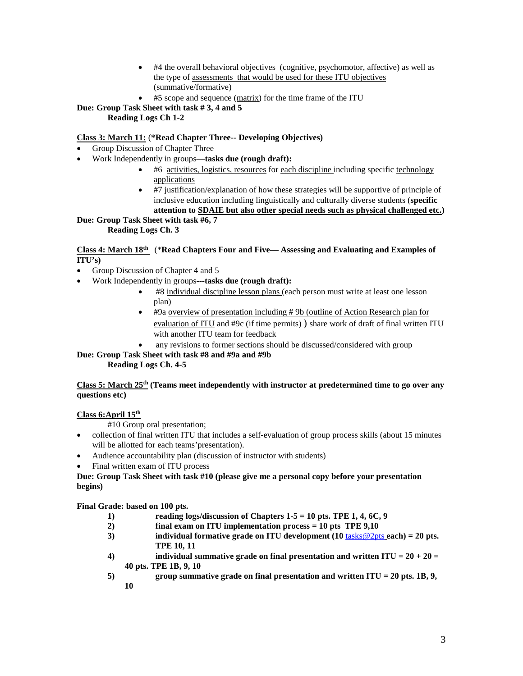- #4 the overall behavioral objectives (cognitive, psychomotor, affective) as well as the type of assessments that would be used for these ITU objectives (summative/formative)
	- #5 scope and sequence (matrix) for the time frame of the ITU

**Due: Group Task Sheet with task # 3, 4 and 5**

# **Reading Logs Ch 1-2**

# **Class 3: March 11:** (**\*Read Chapter Three-- Developing Objectives)**

- Group Discussion of Chapter Three
- Work Independently in groups—**tasks due (rough draft):**
	- #6 activities, logistics, resources for each discipline including specific technology applications
	- #7 justification/explanation of how these strategies will be supportive of principle of inclusive education including linguistically and culturally diverse students (**specific attention to SDAIE but also other special needs such as physical challenged etc.)**

#### **Due: Group Task Sheet with task #6, 7 Reading Logs Ch. 3**

# **Class 4: March 18th** (\***Read Chapters Four and Five— Assessing and Evaluating and Examples of ITU's)**

- Group Discussion of Chapter 4 and 5
- Work Independently in groups---**tasks due (rough draft):**
	- #8 individual discipline lesson plans (each person must write at least one lesson plan)
	- #9a overview of presentation including # 9b (outline of Action Research plan for evaluation of ITU and #9c (if time permits) ) share work of draft of final written ITU with another ITU team for feedback
	- any revisions to former sections should be discussed/considered with group

#### **Due: Group Task Sheet with task #8 and #9a and #9b Reading Logs Ch. 4-5**

# **Class 5: March 25th (Teams meet independently with instructor at predetermined time to go over any questions etc)**

# **Class 6:April 15th**

#10 Group oral presentation;

- collection of final written ITU that includes a self-evaluation of group process skills (about 15 minutes will be allotted for each teams'presentation).
- Audience accountability plan (discussion of instructor with students)
- Final written exam of ITU process

# **Due: Group Task Sheet with task #10 (please give me a personal copy before your presentation begins)**

# **Final Grade: based on 100 pts.**

- **1) reading logs/discussion of Chapters 1-5 = 10 pts. TPE 1, 4, 6C, 9**
- **2) final exam on ITU implementation process = 10 pts TPE 9,10**
- **3) individual formative grade on ITU development (10** tasks@2pts **each) = 20 pts. TPE 10, 11**
- **4) individual summative grade on final presentation and written ITU = 20 + 20 = 40 pts. TPE 1B, 9, 10**
- **5) group summative grade on final presentation and written ITU = 20 pts. 1B, 9, 10**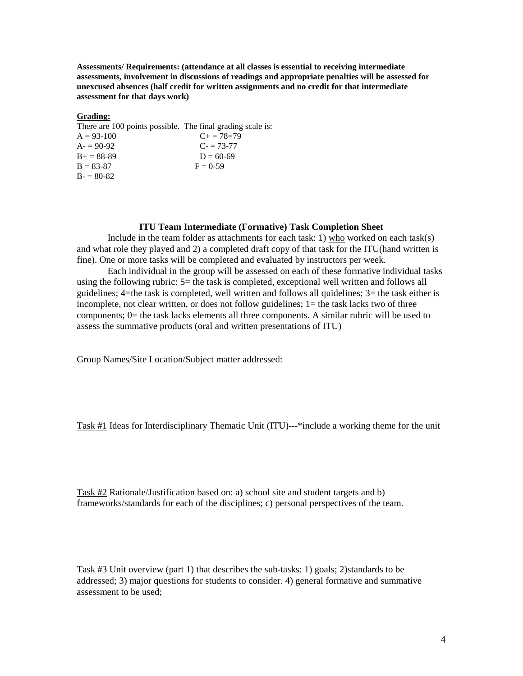**Assessments/ Requirements: (attendance at all classes is essential to receiving intermediate assessments, involvement in discussions of readings and appropriate penalties will be assessed for unexcused absences (half credit for written assignments and no credit for that intermediate assessment for that days work)**

## **Grading:**

| There are 100 points possible. The final grading scale is: |                     |  |
|------------------------------------------------------------|---------------------|--|
| $A = 93-100$                                               | $C_{\pm} = 78 = 79$ |  |
| $A = 90-92$                                                | $C = 73-77$         |  |
| $B_{+} = 88 - 89$                                          | $D = 60-69$         |  |
| $B = 83-87$                                                | $F = 0.59$          |  |
| $B = 80-82$                                                |                     |  |

## **ITU Team Intermediate (Formative) Task Completion Sheet**

Include in the team folder as attachments for each task: 1) who worked on each task(s) and what role they played and 2) a completed draft copy of that task for the ITU(hand written is fine). One or more tasks will be completed and evaluated by instructors per week.

Each individual in the group will be assessed on each of these formative individual tasks using the following rubric: 5= the task is completed, exceptional well written and follows all guidelines; 4=the task is completed, well written and follows all quidelines; 3= the task either is incomplete, not clear written, or does not follow guidelines; 1= the task lacks two of three components; 0= the task lacks elements all three components. A similar rubric will be used to assess the summative products (oral and written presentations of ITU)

Group Names/Site Location/Subject matter addressed:

Task #1 Ideas for Interdisciplinary Thematic Unit (ITU)---\*include a working theme for the unit

Task #2 Rationale/Justification based on: a) school site and student targets and b) frameworks/standards for each of the disciplines; c) personal perspectives of the team.

Task #3 Unit overview (part 1) that describes the sub-tasks: 1) goals; 2)standards to be addressed; 3) major questions for students to consider. 4) general formative and summative assessment to be used;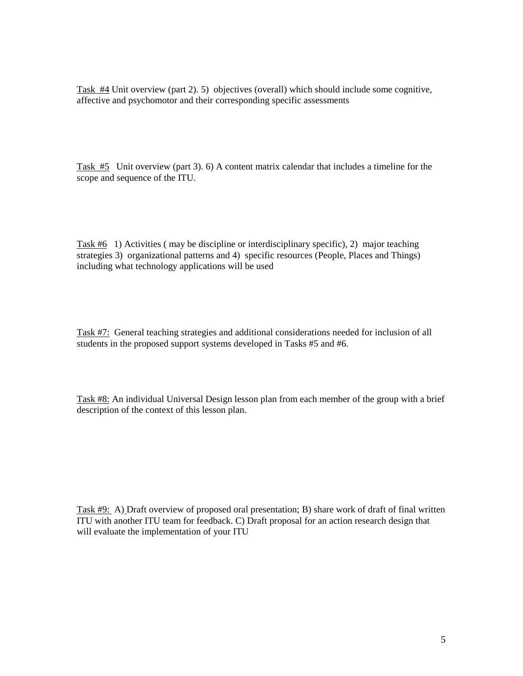Task #4 Unit overview (part 2). 5) objectives (overall) which should include some cognitive, affective and psychomotor and their corresponding specific assessments

Task #5 Unit overview (part 3). 6) A content matrix calendar that includes a timeline for the scope and sequence of the ITU.

Task #6 1) Activities ( may be discipline or interdisciplinary specific), 2) major teaching strategies 3) organizational patterns and 4) specific resources (People, Places and Things) including what technology applications will be used

Task #7: General teaching strategies and additional considerations needed for inclusion of all students in the proposed support systems developed in Tasks #5 and #6.

Task #8: An individual Universal Design lesson plan from each member of the group with a brief description of the context of this lesson plan.

Task #9: A) Draft overview of proposed oral presentation; B) share work of draft of final written ITU with another ITU team for feedback. C) Draft proposal for an action research design that will evaluate the implementation of your ITU